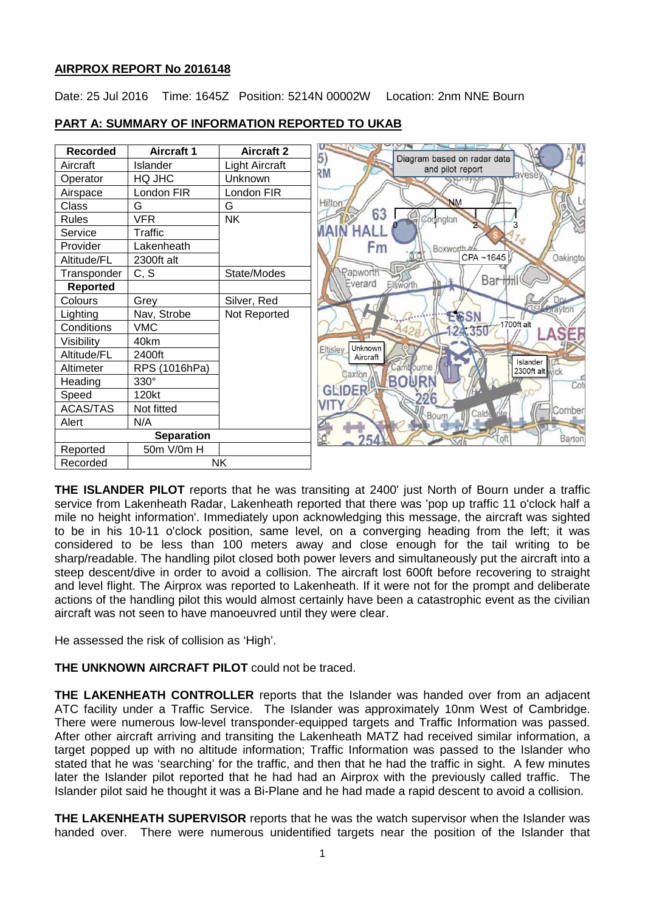# **AIRPROX REPORT No 2016148**

Date: 25 Jul 2016 Time: 1645Z Position: 5214N 00002W Location: 2nm NNE Bourn



## **PART A: SUMMARY OF INFORMATION REPORTED TO UKAB**

**THE ISLANDER PILOT** reports that he was transiting at 2400' just North of Bourn under a traffic service from Lakenheath Radar, Lakenheath reported that there was 'pop up traffic 11 o'clock half a mile no height information'. Immediately upon acknowledging this message, the aircraft was sighted to be in his 10-11 o'clock position, same level, on a converging heading from the left; it was considered to be less than 100 meters away and close enough for the tail writing to be sharp/readable. The handling pilot closed both power levers and simultaneously put the aircraft into a steep descent/dive in order to avoid a collision. The aircraft lost 600ft before recovering to straight and level flight. The Airprox was reported to Lakenheath. If it were not for the prompt and deliberate actions of the handling pilot this would almost certainly have been a catastrophic event as the civilian aircraft was not seen to have manoeuvred until they were clear.

He assessed the risk of collision as 'High'.

**THE UNKNOWN AIRCRAFT PILOT** could not be traced.

**THE LAKENHEATH CONTROLLER** reports that the Islander was handed over from an adjacent ATC facility under a Traffic Service. The Islander was approximately 10nm West of Cambridge. There were numerous low-level transponder-equipped targets and Traffic Information was passed. After other aircraft arriving and transiting the Lakenheath MATZ had received similar information, a target popped up with no altitude information; Traffic Information was passed to the Islander who stated that he was 'searching' for the traffic, and then that he had the traffic in sight. A few minutes later the Islander pilot reported that he had had an Airprox with the previously called traffic. The Islander pilot said he thought it was a Bi-Plane and he had made a rapid descent to avoid a collision.

**THE LAKENHEATH SUPERVISOR** reports that he was the watch supervisor when the Islander was handed over. There were numerous unidentified targets near the position of the Islander that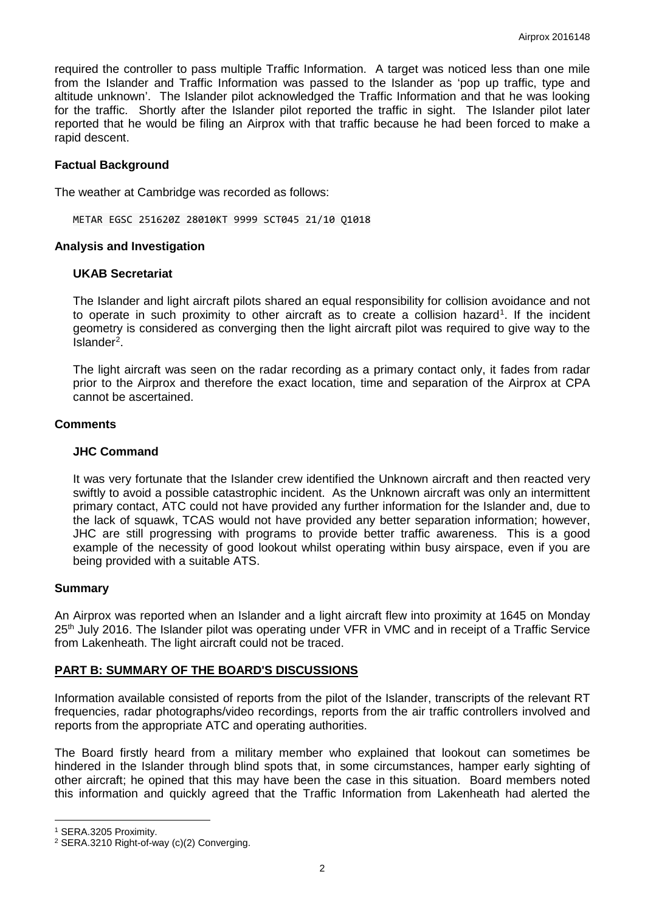required the controller to pass multiple Traffic Information. A target was noticed less than one mile from the Islander and Traffic Information was passed to the Islander as 'pop up traffic, type and altitude unknown'. The Islander pilot acknowledged the Traffic Information and that he was looking for the traffic. Shortly after the Islander pilot reported the traffic in sight. The Islander pilot later reported that he would be filing an Airprox with that traffic because he had been forced to make a rapid descent.

## **Factual Background**

The weather at Cambridge was recorded as follows:

METAR EGSC 251620Z 28010KT 9999 SCT045 21/10 Q1018

### **Analysis and Investigation**

#### **UKAB Secretariat**

The Islander and light aircraft pilots shared an equal responsibility for collision avoidance and not to operate in such proximity to other aircraft as to create a collision hazard<sup>[1](#page-1-0)</sup>. If the incident geometry is considered as converging then the light aircraft pilot was required to give way to the Islander<sup>[2](#page-1-1)</sup>.

The light aircraft was seen on the radar recording as a primary contact only, it fades from radar prior to the Airprox and therefore the exact location, time and separation of the Airprox at CPA cannot be ascertained.

#### **Comments**

#### **JHC Command**

It was very fortunate that the Islander crew identified the Unknown aircraft and then reacted very swiftly to avoid a possible catastrophic incident. As the Unknown aircraft was only an intermittent primary contact, ATC could not have provided any further information for the Islander and, due to the lack of squawk, TCAS would not have provided any better separation information; however, JHC are still progressing with programs to provide better traffic awareness. This is a good example of the necessity of good lookout whilst operating within busy airspace, even if you are being provided with a suitable ATS.

### **Summary**

An Airprox was reported when an Islander and a light aircraft flew into proximity at 1645 on Monday 25<sup>th</sup> July 2016. The Islander pilot was operating under VFR in VMC and in receipt of a Traffic Service from Lakenheath. The light aircraft could not be traced.

### **PART B: SUMMARY OF THE BOARD'S DISCUSSIONS**

Information available consisted of reports from the pilot of the Islander, transcripts of the relevant RT frequencies, radar photographs/video recordings, reports from the air traffic controllers involved and reports from the appropriate ATC and operating authorities.

The Board firstly heard from a military member who explained that lookout can sometimes be hindered in the Islander through blind spots that, in some circumstances, hamper early sighting of other aircraft; he opined that this may have been the case in this situation. Board members noted this information and quickly agreed that the Traffic Information from Lakenheath had alerted the

l

<span id="page-1-0"></span><sup>1</sup> SERA.3205 Proximity.

<span id="page-1-1"></span><sup>2</sup> SERA.3210 Right-of-way (c)(2) Converging.